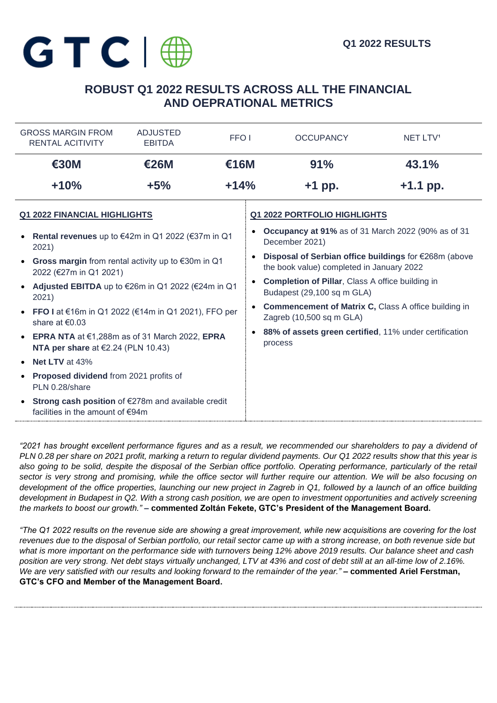# **ROBUST Q1 2022 RESULTS ACROSS ALL THE FINANCIAL AND OEPRATIONAL METRICS**

| <b>GROSS MARGIN FROM</b><br><b>RENTAL ACITIVITY</b>                                                 | <b>ADJUSTED</b><br>FFO <sub>I</sub><br><b>EBITDA</b> |        | <b>OCCUPANCY</b>                                                                                   | NET LTV <sup>1</sup> |  |
|-----------------------------------------------------------------------------------------------------|------------------------------------------------------|--------|----------------------------------------------------------------------------------------------------|----------------------|--|
| €30M                                                                                                | <b>€26M</b><br>€16M                                  |        | 91%                                                                                                | 43.1%                |  |
| $+10%$                                                                                              | $+5%$                                                | $+14%$ | $+1$ pp.                                                                                           | $+1.1$ pp.           |  |
| <b>Q1 2022 FINANCIAL HIGHLIGHTS</b>                                                                 |                                                      |        | <b>Q1 2022 PORTFOLIO HIGHLIGHTS</b>                                                                |                      |  |
| • Rental revenues up to $€42m$ in Q1 2022 ( $€37m$ in Q1<br>2021)                                   |                                                      |        | <b>Occupancy at 91%</b> as of 31 March 2022 (90% as of 31<br>December 2021)                        |                      |  |
| • Gross margin from rental activity up to $\epsilon$ 30m in Q1<br>2022 (€27m in Q1 2021)            |                                                      |        | Disposal of Serbian office buildings for €268m (above<br>the book value) completed in January 2022 |                      |  |
| Adjusted EBITDA up to €26m in Q1 2022 (€24m in Q1<br>$\bullet$<br>2021)                             |                                                      |        | <b>Completion of Pillar, Class A office building in</b><br>Budapest (29,100 sq m GLA)              |                      |  |
| • FFO I at $€16m$ in Q1 2022 (€14m in Q1 2021), FFO per<br>share at $€0.03$                         |                                                      |        | <b>Commencement of Matrix C, Class A office building in</b><br>Zagreb (10,500 sq m GLA)            |                      |  |
| • EPRA NTA at $€1,288m$ as of 31 March 2022, EPRA<br>NTA per share at $E$ 2.24 (PLN 10.43)          |                                                      |        | 88% of assets green certified, 11% under certification<br>process                                  |                      |  |
| <b>Net LTV</b> at 43%<br>$\bullet$                                                                  |                                                      |        |                                                                                                    |                      |  |
| Proposed dividend from 2021 profits of<br>PLN 0.28/share                                            |                                                      |        |                                                                                                    |                      |  |
| Strong cash position of €278m and available credit<br>$\bullet$<br>facilities in the amount of €94m |                                                      |        |                                                                                                    |                      |  |

*"2021 has brought excellent performance figures and as a result, we recommended our shareholders to pay a dividend of PLN 0.28 per share on 2021 profit, marking a return to regular dividend payments. Our Q1 2022 results show that this year is also going to be solid, despite the disposal of the Serbian office portfolio. Operating performance, particularly of the retail sector is very strong and promising, while the office sector will further require our attention. We will be also focusing on development of the office properties, launching our new project in Zagreb in Q1, followed by a launch of an office building development in Budapest in Q2. With a strong cash position, we are open to investment opportunities and actively screening the markets to boost our growth." –* **commented Zoltán Fekete, GTC's President of the Management Board.**

*"The Q1 2022 results on the revenue side are showing a great improvement, while new acquisitions are covering for the lost revenues due to the disposal of Serbian portfolio, our retail sector came up with a strong increase, on both revenue side but what is more important on the performance side with turnovers being 12% above 2019 results. Our balance sheet and cash position are very strong. Net debt stays virtually unchanged, LTV at 43% and cost of debt still at an all-time low of 2.16%. We are very satisfied with our results and looking forward to the remainder of the year."* **– commented Ariel Ferstman, GTC's CFO and Member of the Management Board.**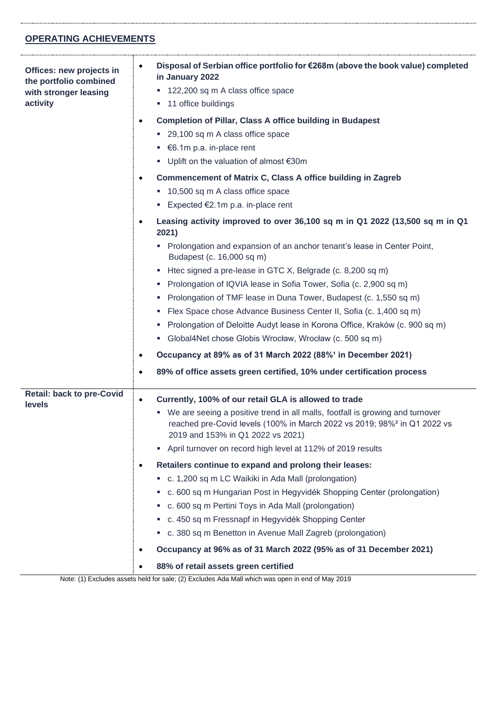## **OPERATING ACHIEVEMENTS**

| Offices: new projects in<br>the portfolio combined<br>with stronger leasing<br>activity | Disposal of Serbian office portfolio for €268m (above the book value) completed<br>in January 2022<br>■ 122,200 sq m A class office space<br>• 11 office buildings<br><b>Completion of Pillar, Class A office building in Budapest</b><br>٠<br>■ 29,100 sq m A class office space<br>■ $€6.1m p.a. in-place rent$ |
|-----------------------------------------------------------------------------------------|-------------------------------------------------------------------------------------------------------------------------------------------------------------------------------------------------------------------------------------------------------------------------------------------------------------------|
|                                                                                         | ■ Uplift on the valuation of almost €30m                                                                                                                                                                                                                                                                          |
|                                                                                         | Commencement of Matrix C, Class A office building in Zagreb<br>$\bullet$<br>10,500 sq m A class office space<br>Expected $E2.1m$ p.a. in-place rent                                                                                                                                                               |
|                                                                                         | Leasing activity improved to over 36,100 sq m in Q1 2022 (13,500 sq m in Q1<br>2021)                                                                                                                                                                                                                              |
|                                                                                         | • Prolongation and expansion of an anchor tenant's lease in Center Point,<br>Budapest (c. 16,000 sq m)                                                                                                                                                                                                            |
|                                                                                         | Htec signed a pre-lease in GTC X, Belgrade (c. 8,200 sq m)<br>ш                                                                                                                                                                                                                                                   |
|                                                                                         | Prolongation of IQVIA lease in Sofia Tower, Sofia (c. 2,900 sq m)<br>×.                                                                                                                                                                                                                                           |
|                                                                                         | Prolongation of TMF lease in Duna Tower, Budapest (c. 1,550 sq m)                                                                                                                                                                                                                                                 |
|                                                                                         | Flex Space chose Advance Business Center II, Sofia (c. 1,400 sq m)                                                                                                                                                                                                                                                |
|                                                                                         | Prolongation of Deloitte Audyt lease in Korona Office, Kraków (c. 900 sq m)<br>ш                                                                                                                                                                                                                                  |
|                                                                                         | • Global4Net chose Globis Wrocław, Wrocław (c. 500 sq m)                                                                                                                                                                                                                                                          |
|                                                                                         | Occupancy at 89% as of 31 March 2022 (88% <sup>1</sup> in December 2021)                                                                                                                                                                                                                                          |
|                                                                                         | 89% of office assets green certified, 10% under certification process<br>٠                                                                                                                                                                                                                                        |
| <b>Retail: back to pre-Covid</b><br>levels                                              | Currently, 100% of our retail GLA is allowed to trade<br>$\bullet$                                                                                                                                                                                                                                                |
|                                                                                         | We are seeing a positive trend in all malls, footfall is growing and turnover<br>ш<br>reached pre-Covid levels (100% in March 2022 vs 2019; 98% <sup>2</sup> in Q1 2022 vs<br>2019 and 153% in Q1 2022 vs 2021)                                                                                                   |
|                                                                                         | • April turnover on record high level at 112% of 2019 results                                                                                                                                                                                                                                                     |
|                                                                                         | Retailers continue to expand and prolong their leases:<br>$\bullet$                                                                                                                                                                                                                                               |
|                                                                                         | c. 1,200 sq m LC Waikiki in Ada Mall (prolongation)                                                                                                                                                                                                                                                               |
|                                                                                         | c. 600 sq m Hungarian Post in Hegyvidék Shopping Center (prolongation)                                                                                                                                                                                                                                            |
|                                                                                         | c. 600 sq m Pertini Toys in Ada Mall (prolongation)                                                                                                                                                                                                                                                               |
|                                                                                         | c. 450 sq m Fressnapf in Hegyvidék Shopping Center                                                                                                                                                                                                                                                                |
|                                                                                         | c. 380 sq m Benetton in Avenue Mall Zagreb (prolongation)<br>ш                                                                                                                                                                                                                                                    |
|                                                                                         | Occupancy at 96% as of 31 March 2022 (95% as of 31 December 2021)                                                                                                                                                                                                                                                 |
|                                                                                         | 88% of retail assets green certified                                                                                                                                                                                                                                                                              |

Note: (1) Excludes assets held for sale; (2) Excludes Ada Mall which was open in end of May 2019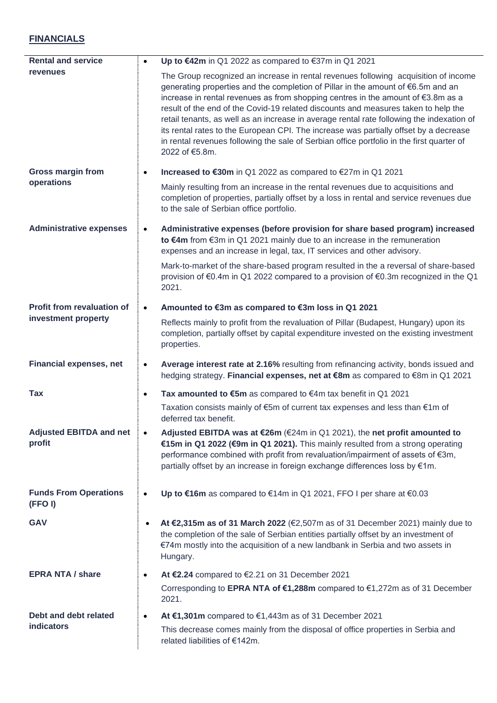## **FINANCIALS**

| <b>Rental and service</b>                |           | Up to $\epsilon$ 42m in Q1 2022 as compared to $\epsilon$ 37m in Q1 2021                                                                                                                                                                                                                                                                                                                                                                                                                                                                                                                                                                               |
|------------------------------------------|-----------|--------------------------------------------------------------------------------------------------------------------------------------------------------------------------------------------------------------------------------------------------------------------------------------------------------------------------------------------------------------------------------------------------------------------------------------------------------------------------------------------------------------------------------------------------------------------------------------------------------------------------------------------------------|
| revenues                                 |           | The Group recognized an increase in rental revenues following acquisition of income<br>generating properties and the completion of Pillar in the amount of €6.5m and an<br>increase in rental revenues as from shopping centres in the amount of €3.8m as a<br>result of the end of the Covid-19 related discounts and measures taken to help the<br>retail tenants, as well as an increase in average rental rate following the indexation of<br>its rental rates to the European CPI. The increase was partially offset by a decrease<br>in rental revenues following the sale of Serbian office portfolio in the first quarter of<br>2022 of €5.8m. |
| <b>Gross margin from</b>                 |           | Increased to €30m in Q1 2022 as compared to €27m in Q1 2021                                                                                                                                                                                                                                                                                                                                                                                                                                                                                                                                                                                            |
| operations                               |           | Mainly resulting from an increase in the rental revenues due to acquisitions and<br>completion of properties, partially offset by a loss in rental and service revenues due<br>to the sale of Serbian office portfolio.                                                                                                                                                                                                                                                                                                                                                                                                                                |
| <b>Administrative expenses</b>           |           | Administrative expenses (before provision for share based program) increased<br>to €4m from €3m in Q1 2021 mainly due to an increase in the remuneration<br>expenses and an increase in legal, tax, IT services and other advisory.                                                                                                                                                                                                                                                                                                                                                                                                                    |
|                                          |           | Mark-to-market of the share-based program resulted in the a reversal of share-based<br>provision of €0.4m in Q1 2022 compared to a provision of €0.3m recognized in the Q1<br>2021.                                                                                                                                                                                                                                                                                                                                                                                                                                                                    |
| Profit from revaluation of               |           | Amounted to €3m as compared to €3m loss in Q1 2021                                                                                                                                                                                                                                                                                                                                                                                                                                                                                                                                                                                                     |
| investment property                      |           | Reflects mainly to profit from the revaluation of Pillar (Budapest, Hungary) upon its<br>completion, partially offset by capital expenditure invested on the existing investment<br>properties.                                                                                                                                                                                                                                                                                                                                                                                                                                                        |
| <b>Financial expenses, net</b>           | $\bullet$ | Average interest rate at 2.16% resulting from refinancing activity, bonds issued and<br>hedging strategy. Financial expenses, net at €8m as compared to €8m in Q1 2021                                                                                                                                                                                                                                                                                                                                                                                                                                                                                 |
| <b>Tax</b>                               | $\bullet$ | Tax amounted to €5m as compared to $€4m$ tax benefit in Q1 2021                                                                                                                                                                                                                                                                                                                                                                                                                                                                                                                                                                                        |
|                                          |           | Taxation consists mainly of €5m of current tax expenses and less than €1m of<br>deferred tax benefit.                                                                                                                                                                                                                                                                                                                                                                                                                                                                                                                                                  |
| <b>Adjusted EBITDA and net</b><br>profit | $\bullet$ | Adjusted EBITDA was at €26m (€24m in Q1 2021), the net profit amounted to<br>€15m in Q1 2022 (€9m in Q1 2021). This mainly resulted from a strong operating<br>performance combined with profit from revaluation/impairment of assets of €3m,<br>partially offset by an increase in foreign exchange differences loss by €1m.                                                                                                                                                                                                                                                                                                                          |
| <b>Funds From Operations</b><br>(FFOI)   |           | Up to €16m as compared to €14m in Q1 2021, FFO I per share at €0.03                                                                                                                                                                                                                                                                                                                                                                                                                                                                                                                                                                                    |
| <b>GAV</b>                               |           | At €2,315m as of 31 March 2022 (€2,507m as of 31 December 2021) mainly due to<br>the completion of the sale of Serbian entities partially offset by an investment of<br>€74m mostly into the acquisition of a new landbank in Serbia and two assets in<br>Hungary.                                                                                                                                                                                                                                                                                                                                                                                     |
| <b>EPRA NTA / share</b>                  | $\bullet$ | At €2.24 compared to €2.21 on 31 December 2021                                                                                                                                                                                                                                                                                                                                                                                                                                                                                                                                                                                                         |
|                                          |           | Corresponding to EPRA NTA of €1,288m compared to €1,272m as of 31 December<br>2021.                                                                                                                                                                                                                                                                                                                                                                                                                                                                                                                                                                    |
| Debt and debt related                    |           | At €1,301m compared to €1,443m as of 31 December 2021                                                                                                                                                                                                                                                                                                                                                                                                                                                                                                                                                                                                  |
| <b>indicators</b>                        |           | This decrease comes mainly from the disposal of office properties in Serbia and<br>related liabilities of €142m.                                                                                                                                                                                                                                                                                                                                                                                                                                                                                                                                       |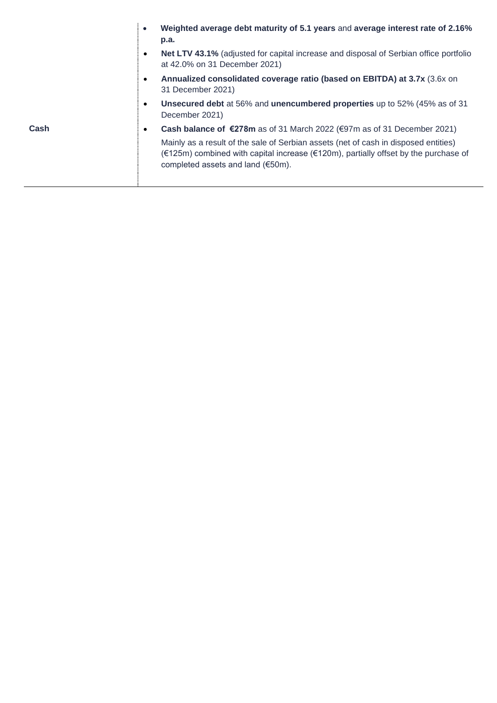|      | $\bullet$ | Weighted average debt maturity of 5.1 years and average interest rate of 2.16%<br>p.a.                                                                                                                                   |
|------|-----------|--------------------------------------------------------------------------------------------------------------------------------------------------------------------------------------------------------------------------|
|      | $\bullet$ | Net LTV 43.1% (adjusted for capital increase and disposal of Serbian office portfolio<br>at 42.0% on 31 December 2021)                                                                                                   |
|      | $\bullet$ | Annualized consolidated coverage ratio (based on EBITDA) at 3.7x (3.6x on<br>31 December 2021)                                                                                                                           |
|      | $\bullet$ | Unsecured debt at 56% and unencumbered properties up to 52% (45% as of 31<br>December 2021)                                                                                                                              |
| Cash | ٠         | Cash balance of €278m as of 31 March 2022 (€97m as of 31 December 2021)                                                                                                                                                  |
|      |           | Mainly as a result of the sale of Serbian assets (net of cash in disposed entities)<br>$(\infty)$ combined with capital increase ( $\in$ 120m), partially offset by the purchase of<br>completed assets and land (€50m). |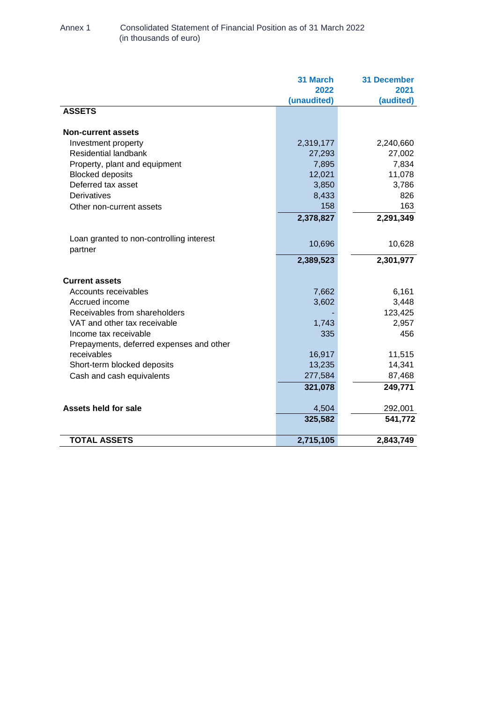### Annex 1 Consolidated Statement of Financial Position as of 31 March 2022 (in thousands of euro)

|                                          | <b>31 March</b> | <b>31 December</b> |
|------------------------------------------|-----------------|--------------------|
|                                          | 2022            | 2021               |
|                                          | (unaudited)     | (audited)          |
| <b>ASSETS</b>                            |                 |                    |
| <b>Non-current assets</b>                |                 |                    |
| Investment property                      | 2,319,177       | 2,240,660          |
| Residential landbank                     | 27,293          | 27,002             |
| Property, plant and equipment            | 7,895           | 7,834              |
| <b>Blocked deposits</b>                  | 12,021          | 11,078             |
| Deferred tax asset                       | 3,850           | 3,786              |
| Derivatives                              | 8,433           | 826                |
| Other non-current assets                 | 158             | 163                |
|                                          | 2,378,827       | 2,291,349          |
| Loan granted to non-controlling interest |                 |                    |
| partner                                  | 10,696          | 10,628             |
|                                          | 2,389,523       | 2,301,977          |
| <b>Current assets</b>                    |                 |                    |
| Accounts receivables                     | 7,662           | 6,161              |
| Accrued income                           | 3,602           | 3,448              |
| Receivables from shareholders            |                 | 123,425            |
| VAT and other tax receivable             | 1,743           | 2,957              |
| Income tax receivable                    | 335             | 456                |
| Prepayments, deferred expenses and other |                 |                    |
| receivables                              | 16,917          | 11,515             |
| Short-term blocked deposits              | 13,235          | 14,341             |
| Cash and cash equivalents                | 277,584         | 87,468             |
|                                          | 321,078         | 249,771            |
| <b>Assets held for sale</b>              | 4,504           | 292,001            |
|                                          | 325,582         | 541,772            |
| <b>TOTAL ASSETS</b>                      | 2,715,105       | 2,843,749          |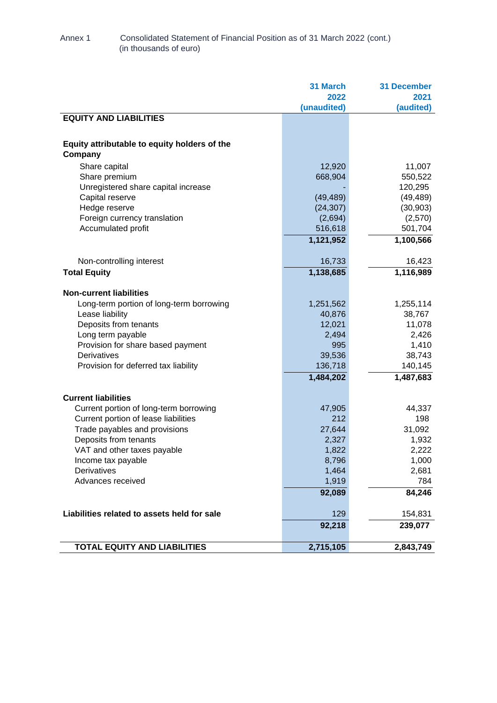## Annex 1 Consolidated Statement of Financial Position as of 31 March 2022 (cont.) (in thousands of euro)

|                                                                      | 31 March    | <b>31 December</b> |
|----------------------------------------------------------------------|-------------|--------------------|
|                                                                      | 2022        | 2021               |
|                                                                      | (unaudited) | (audited)          |
| <b>EQUITY AND LIABILITIES</b>                                        |             |                    |
|                                                                      |             |                    |
| Equity attributable to equity holders of the                         |             |                    |
| Company                                                              |             |                    |
| Share capital                                                        | 12,920      | 11,007             |
| Share premium                                                        | 668,904     | 550,522            |
| Unregistered share capital increase                                  |             | 120,295            |
| Capital reserve                                                      | (49, 489)   | (49, 489)          |
| Hedge reserve                                                        | (24, 307)   | (30, 903)          |
| Foreign currency translation                                         | (2,694)     | (2,570)            |
| Accumulated profit                                                   | 516,618     | 501,704            |
|                                                                      | 1,121,952   | 1,100,566          |
| Non-controlling interest                                             | 16,733      | 16,423             |
| <b>Total Equity</b>                                                  | 1,138,685   | 1,116,989          |
|                                                                      |             |                    |
| <b>Non-current liabilities</b>                                       |             |                    |
| Long-term portion of long-term borrowing                             | 1,251,562   | 1,255,114          |
| Lease liability                                                      | 40,876      | 38,767             |
| Deposits from tenants                                                | 12,021      | 11,078             |
| Long term payable                                                    | 2,494       | 2,426              |
| Provision for share based payment                                    | 995         | 1,410              |
| Derivatives                                                          | 39,536      | 38,743             |
| Provision for deferred tax liability                                 | 136,718     | 140,145            |
|                                                                      | 1,484,202   | 1,487,683          |
|                                                                      |             |                    |
| <b>Current liabilities</b><br>Current portion of long-term borrowing | 47,905      |                    |
| Current portion of lease liabilities                                 | 212         | 44,337<br>198      |
| Trade payables and provisions                                        | 27,644      | 31,092             |
| Deposits from tenants                                                | 2,327       | 1,932              |
| VAT and other taxes payable                                          | 1,822       | 2,222              |
| Income tax payable                                                   | 8,796       | 1,000              |
| Derivatives                                                          | 1,464       | 2,681              |
| Advances received                                                    | 1,919       | 784                |
|                                                                      | 92,089      | 84,246             |
|                                                                      |             |                    |
| Liabilities related to assets held for sale                          | 129         | 154,831            |
|                                                                      | 92,218      | 239,077            |
| <b>TOTAL EQUITY AND LIABILITIES</b>                                  | 2,715,105   | 2,843,749          |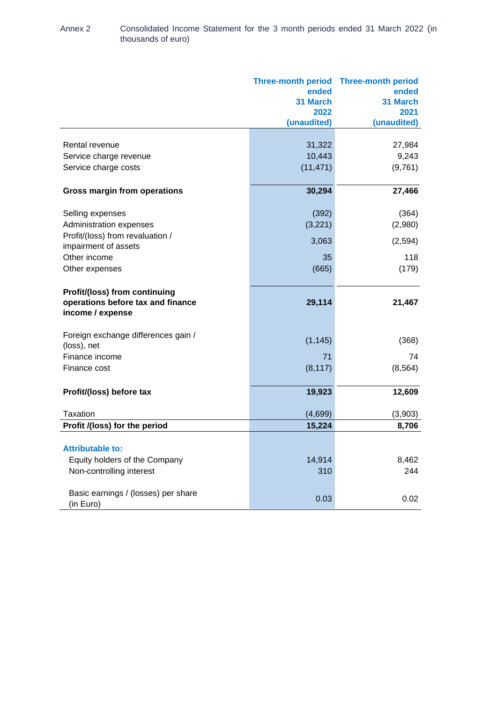| Annex 2 | Consolidated Income Statement for the 3 month periods ended 31 March 2022 (in |
|---------|-------------------------------------------------------------------------------|
|         | thousands of euro)                                                            |

|                                                                                        | ended<br>31 March<br>2022<br>(unaudited) | Three-month period Three-month period<br>ended<br>31 March<br>2021<br>(unaudited) |
|----------------------------------------------------------------------------------------|------------------------------------------|-----------------------------------------------------------------------------------|
|                                                                                        |                                          |                                                                                   |
| Rental revenue                                                                         | 31,322                                   | 27,984                                                                            |
| Service charge revenue                                                                 | 10,443                                   | 9,243                                                                             |
| Service charge costs                                                                   | (11, 471)                                | (9,761)                                                                           |
| <b>Gross margin from operations</b>                                                    | 30,294                                   | 27,466                                                                            |
| Selling expenses                                                                       | (392)                                    | (364)                                                                             |
| Administration expenses                                                                | (3,221)                                  | (2,980)                                                                           |
| Profit/(loss) from revaluation /<br>impairment of assets                               | 3,063                                    | (2,594)                                                                           |
| Other income                                                                           | 35                                       | 118                                                                               |
| Other expenses                                                                         | (665)                                    | (179)                                                                             |
| Profit/(loss) from continuing<br>operations before tax and finance<br>income / expense | 29,114                                   | 21,467                                                                            |
| Foreign exchange differences gain /<br>(loss), net                                     | (1, 145)                                 | (368)                                                                             |
| Finance income                                                                         | 71                                       | 74                                                                                |
| Finance cost                                                                           | (8, 117)                                 | (8, 564)                                                                          |
| Profit/(loss) before tax                                                               | 19,923                                   | 12,609                                                                            |
| Taxation                                                                               | (4,699)                                  | (3,903)                                                                           |
| Profit /(loss) for the period                                                          | 15,224                                   | 8,706                                                                             |
| <b>Attributable to:</b>                                                                |                                          |                                                                                   |
| Equity holders of the Company                                                          | 14,914                                   | 8,462                                                                             |
| Non-controlling interest                                                               | 310                                      | 244                                                                               |
| Basic earnings / (losses) per share<br>(in Euro)                                       | 0.03                                     | 0.02                                                                              |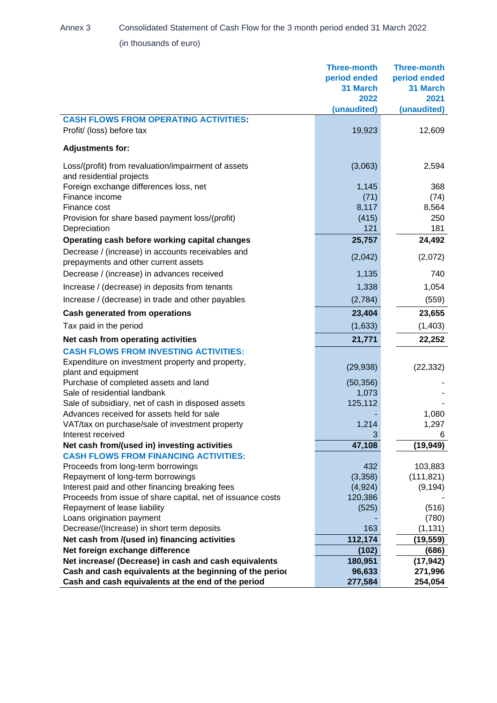Annex 3 Consolidated Statement of Cash Flow for the 3 month period ended 31 March 2022 (in thousands of euro)

|                                                                                           | <b>Three-month</b> | <b>Three-month</b> |
|-------------------------------------------------------------------------------------------|--------------------|--------------------|
|                                                                                           | period ended       | period ended       |
|                                                                                           | 31 March           | 31 March           |
|                                                                                           | 2022               | 2021               |
|                                                                                           | (unaudited)        | (unaudited)        |
| <b>CASH FLOWS FROM OPERATING ACTIVITIES:</b>                                              |                    |                    |
| Profit/ (loss) before tax                                                                 | 19,923             | 12,609             |
| <b>Adjustments for:</b>                                                                   |                    |                    |
| Loss/(profit) from revaluation/impairment of assets                                       | (3,063)            | 2,594              |
| and residential projects                                                                  |                    |                    |
| Foreign exchange differences loss, net                                                    | 1,145              | 368                |
| Finance income                                                                            | (71)               | (74)               |
| Finance cost                                                                              | 8,117              | 8,564<br>250       |
| Provision for share based payment loss/(profit)<br>Depreciation                           | (415)<br>121       | 181                |
|                                                                                           |                    |                    |
| Operating cash before working capital changes                                             | 25,757             | 24,492             |
| Decrease / (increase) in accounts receivables and<br>prepayments and other current assets | (2,042)            | (2,072)            |
| Decrease / (increase) in advances received                                                | 1,135              | 740                |
| Increase / (decrease) in deposits from tenants                                            | 1,338              | 1,054              |
| Increase / (decrease) in trade and other payables                                         | (2,784)            | (559)              |
| <b>Cash generated from operations</b>                                                     | 23,404             | 23,655             |
| Tax paid in the period                                                                    | (1,633)            | (1, 403)           |
| Net cash from operating activities                                                        | 21,771             | 22,252             |
| <b>CASH FLOWS FROM INVESTING ACTIVITIES:</b>                                              |                    |                    |
| Expenditure on investment property and property,                                          |                    |                    |
| plant and equipment                                                                       | (29, 938)          | (22, 332)          |
| Purchase of completed assets and land                                                     | (50, 356)          |                    |
| Sale of residential landbank                                                              | 1,073              |                    |
| Sale of subsidiary, net of cash in disposed assets                                        | 125,112            |                    |
| Advances received for assets held for sale                                                |                    | 1,080              |
| VAT/tax on purchase/sale of investment property                                           | 1,214              | 1,297              |
| Interest received                                                                         | 3                  | 6                  |
| Net cash from/(used in) investing activities                                              | 47,108             | (19, 949)          |
| <b>CASH FLOWS FROM FINANCING ACTIVITIES:</b>                                              |                    |                    |
| Proceeds from long-term borrowings                                                        | 432                | 103,883            |
| Repayment of long-term borrowings                                                         | (3,358)            | (111, 821)         |
| Interest paid and other financing breaking fees                                           | (4,924)            | (9, 194)           |
| Proceeds from issue of share capital, net of issuance costs                               | 120,386            |                    |
| Repayment of lease liability                                                              | (525)              | (516)              |
| Loans origination payment                                                                 |                    | (780)              |
| Decrease/(Increase) in short term deposits                                                | 163                | (1, 131)           |
| Net cash from /(used in) financing activities                                             | 112,174            | (19, 559)          |
| Net foreign exchange difference                                                           | (102)              | (686)              |
| Net increase/ (Decrease) in cash and cash equivalents                                     | 180,951            | (17, 942)          |
| Cash and cash equivalents at the beginning of the period                                  | 96,633             | 271,996            |
| Cash and cash equivalents at the end of the period                                        | 277,584            | 254,054            |